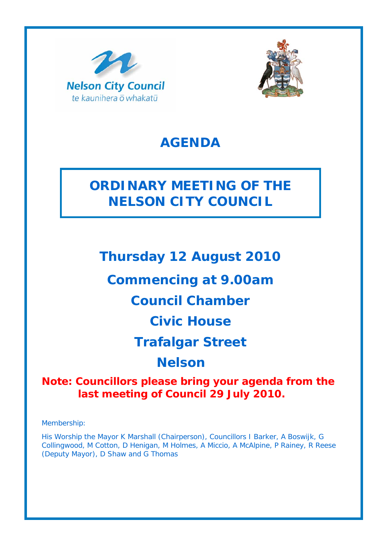



## **AGENDA**

## **ORDINARY MEETING OF THE NELSON CITY COUNCIL**

**Thursday 12 August 2010** 

**Commencing at 9.00am** 

## **Council Chamber**

**Civic House** 

**Trafalgar Street** 

**Nelson**

**Note: Councillors please bring your agenda from the last meeting of Council 29 July 2010.** 

Membership:

His Worship the Mayor K Marshall (Chairperson), Councillors I Barker, A Boswijk, G Collingwood, M Cotton, D Henigan, M Holmes, A Miccio, A McAlpine, P Rainey, R Reese (Deputy Mayor), D Shaw and G Thomas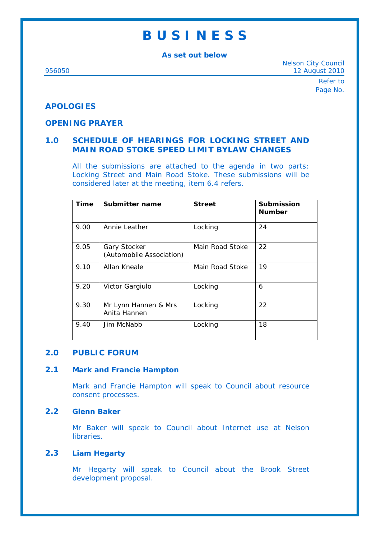## **B U S I N E S S**

**As set out below** 

Nelson City Council 956050 12 August 2010

> Refer to Page No.

## **APOLOGIES**

## **OPENING PRAYER**

## **1.0 SCHEDULE OF HEARINGS FOR LOCKING STREET AND MAIN ROAD STOKE SPEED LIMIT BYLAW CHANGES**

All the submissions are attached to the agenda in two parts; Locking Street and Main Road Stoke. These submissions will be considered later at the meeting, item 6.4 refers.

| <b>Time</b> | Submitter name                           | <b>Street</b>   | <b>Submission</b><br><b>Number</b> |
|-------------|------------------------------------------|-----------------|------------------------------------|
| 9.00        | Annie Leather                            | Locking         | 24                                 |
| 9.05        | Gary Stocker<br>(Automobile Association) | Main Road Stoke | 22                                 |
| 9.10        | Allan Kneale                             | Main Road Stoke | 19                                 |
| 9.20        | Victor Gargiulo                          | Locking         | 6                                  |
| 9.30        | Mr Lynn Hannen & Mrs<br>Anita Hannen     | Locking         | 22                                 |
| 9.40        | Jim McNabb                               | Locking         | 18                                 |

## **2.0 PUBLIC FORUM**

#### **2.1 Mark and Francie Hampton**

Mark and Francie Hampton will speak to Council about resource consent processes.

#### **2.2 Glenn Baker**

Mr Baker will speak to Council about Internet use at Nelson libraries.

## **2.3 Liam Hegarty**

Mr Hegarty will speak to Council about the Brook Street development proposal.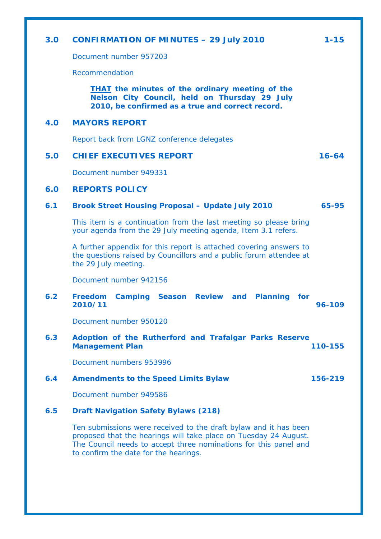# **3.0 CONFIRMATION OF MINUTES – 29 July 2010 1-15**  Document number 957203 Recommendation *THAT the minutes of the ordinary meeting of the*

*Nelson City Council, held on Thursday 29 July 2010, be confirmed as a true and correct record.*

## **4.0 MAYORS REPORT**

Report back from LGNZ conference delegates

## **5.0 CHIEF EXECUTIVES REPORT 16-64**

Document number 949331

## **6.0 REPORTS POLICY**

## **6.1 Brook Street Housing Proposal – Update July 2010 65-95**

This item is a continuation from the last meeting so please bring your agenda from the 29 July meeting agenda, Item 3.1 refers.

A further appendix for this report is attached covering answers to the questions raised by Councillors and a public forum attendee at the 29 July meeting.

Document number 942156

## **6.2 Freedom Camping Season Review and Planning for 2010/11 96-109**

Document number 950120

#### **6.3 Adoption of the Rutherford and Trafalgar Parks Reserve Management Plan 110-155**

Document numbers 953996

#### **6.4 Amendments to the Speed Limits Bylaw 156-219**

Document number 949586

## **6.5 Draft Navigation Safety Bylaws (218)**

Ten submissions were received to the draft bylaw and it has been proposed that the hearings will take place on Tuesday 24 August. The Council needs to accept three nominations for this panel and to confirm the date for the hearings.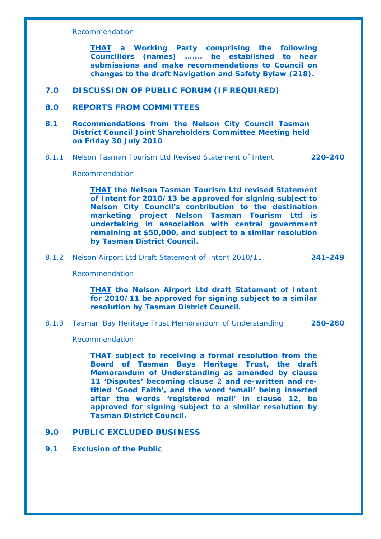#### Recommendation

*THAT a Working Party comprising the following Councillors (names) ……. be established to hear submissions and make recommendations to Council on changes to the draft Navigation and Safety Bylaw (218).*

## **7.0 DISCUSSION OF PUBLIC FORUM (IF REQUIRED)**

#### **8.0 REPORTS FROM COMMITTEES**

#### **8.1 Recommendations from the Nelson City Council Tasman District Council Joint Shareholders Committee Meeting held on Friday 30 July 2010**

8.1.1 Nelson Tasman Tourism Ltd Revised Statement of Intent **220-240**

Recommendation

*THAT the Nelson Tasman Tourism Ltd revised Statement of Intent for 2010/13 be approved for signing subject to Nelson City Council's contribution to the destination marketing project Nelson Tasman Tourism Ltd is undertaking in association with central government remaining at \$50,000, and subject to a similar resolution by Tasman District Council.*

#### 8.1.2 Nelson Airport Ltd Draft Statement of Intent 2010/11 **241-249**

Recommendation

#### *THAT the Nelson Airport Ltd draft Statement of Intent for 2010/11 be approved for signing subject to a similar resolution by Tasman District Council.*

8.1.3 Tasman Bay Heritage Trust Memorandum of Understanding **250-260**

#### Recommendation

*THAT subject to receiving a formal resolution from the Board of Tasman Bays Heritage Trust, the draft Memorandum of Understanding as amended by clause 11 'Disputes' becoming clause 2 and re-written and retitled 'Good Faith', and the word 'email' being inserted after the words 'registered mail' in clause 12, be approved for signing subject to a similar resolution by Tasman District Council.* 

## **9.0 PUBLIC EXCLUDED BUSINESS**

## **9.1 Exclusion of the Public**